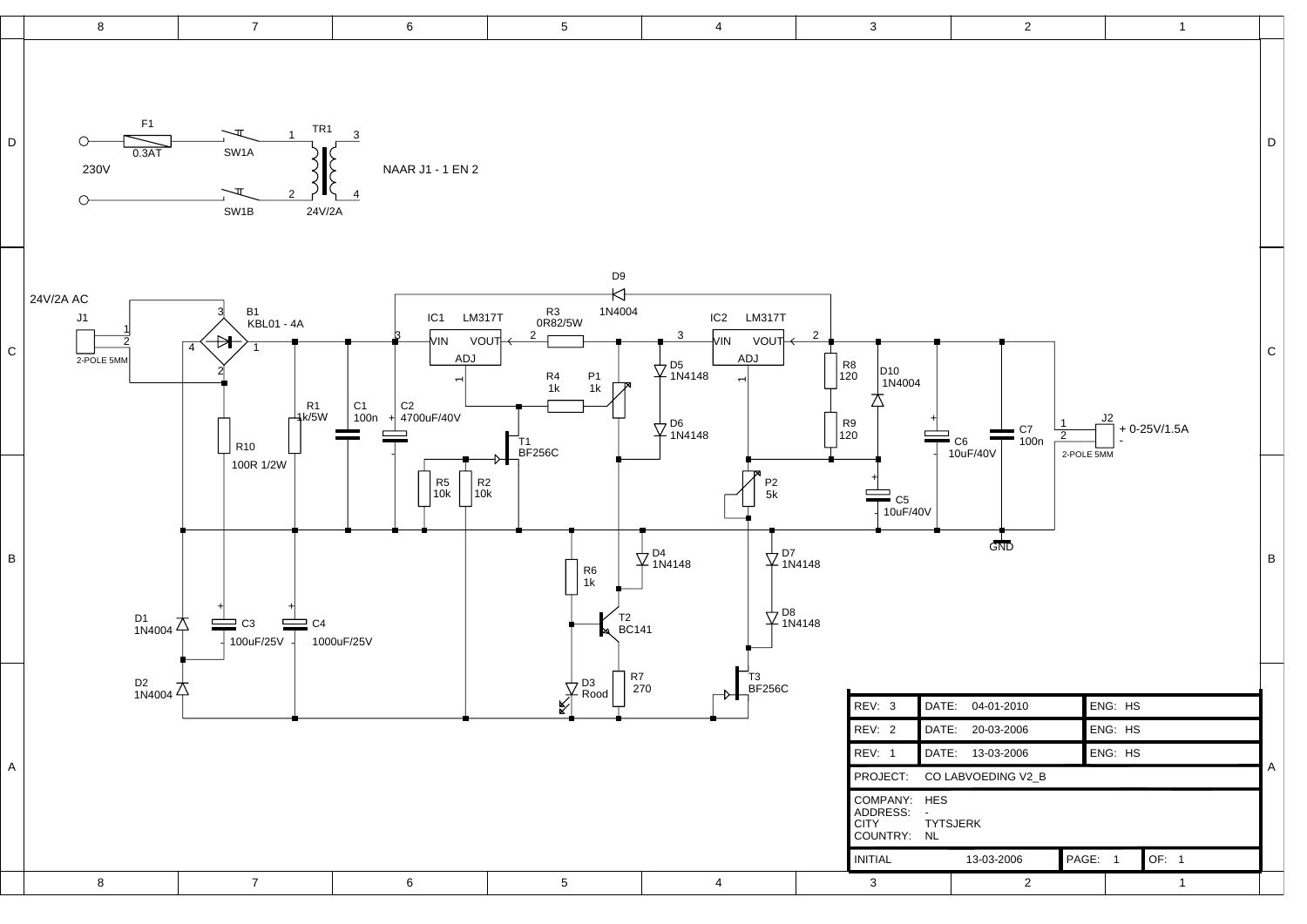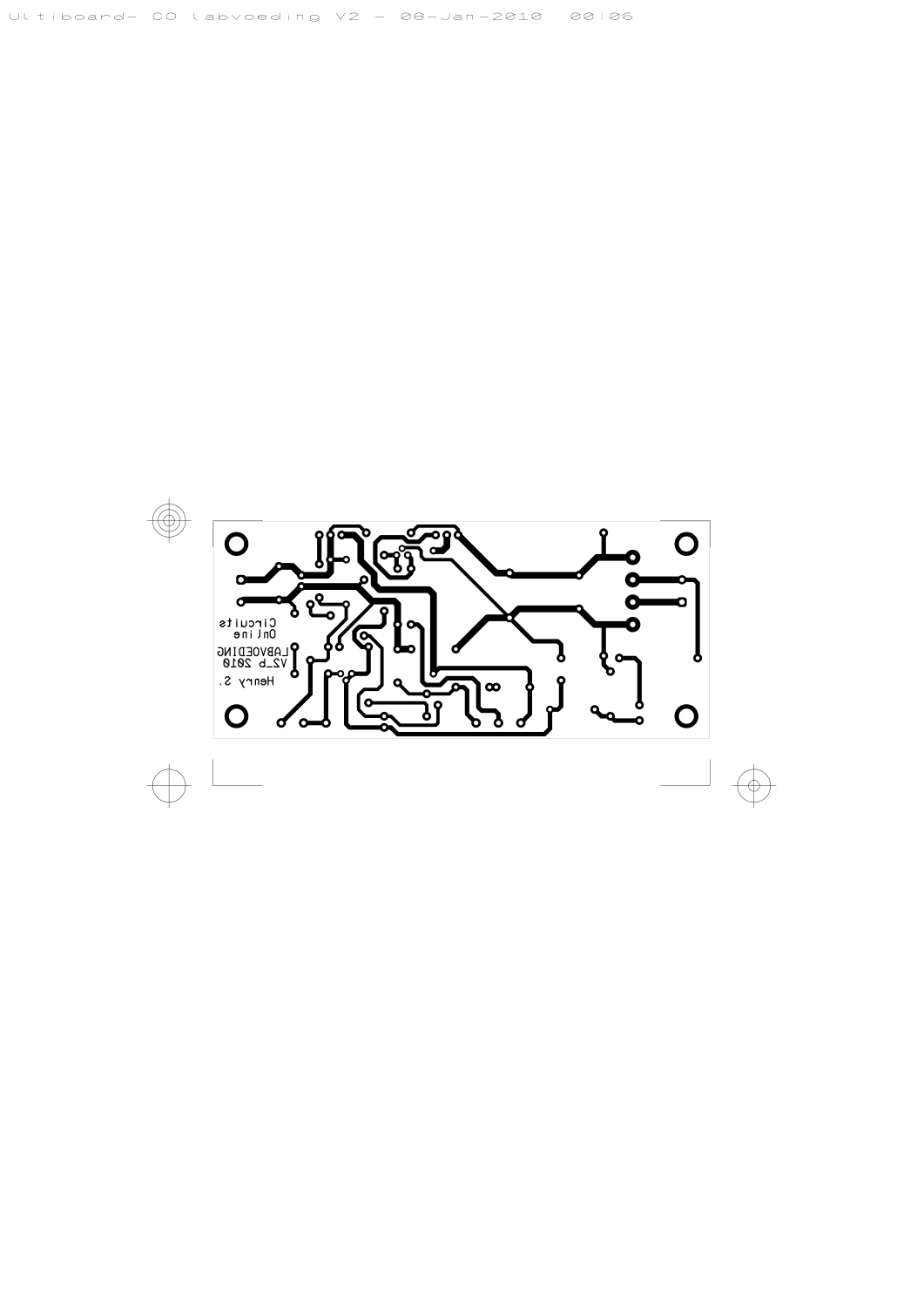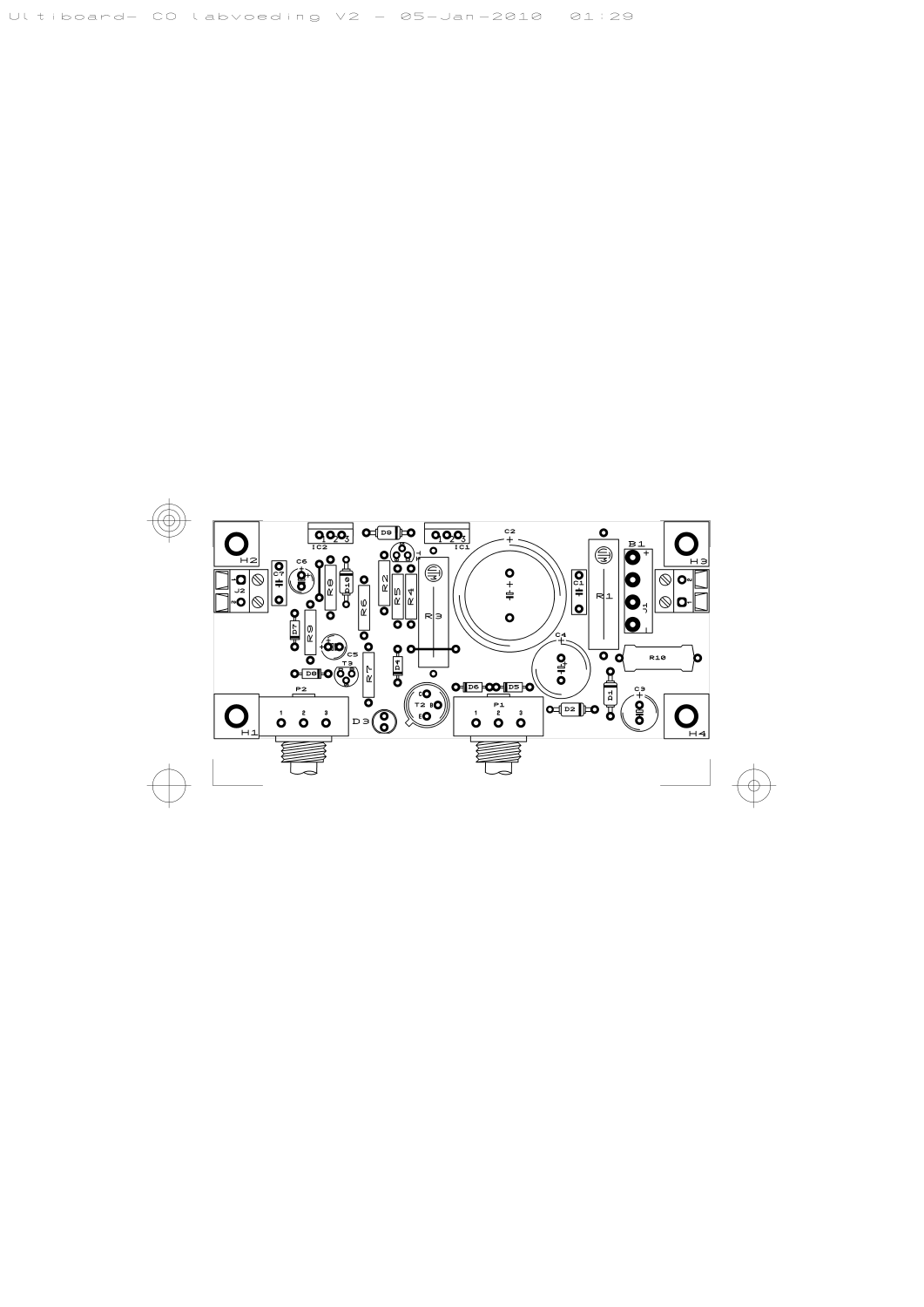